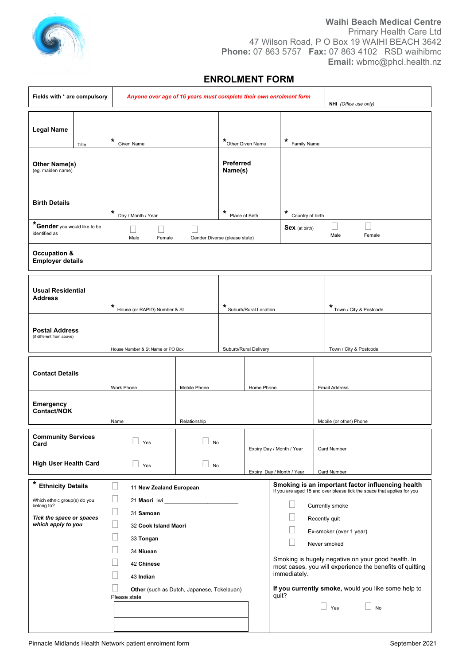

### **Waihi Beach Medical Centre** Primary Health Care Ltd 47 Wilson Road, P O Box 19 WAIHI BEACH 3642 **Phone:** 07 863 5757 **Fax:** 07 863 4102 RSD waihibmc **Email:** wbmc@phcl.health.nz

## **ENROLMENT FORM**

| Fields with * are compulsory                       |                                             | Anyone over age of 16 years must complete their own enrolment form |                                       | NHI (Office use only)                                                                                                       |                                                    |  |
|----------------------------------------------------|---------------------------------------------|--------------------------------------------------------------------|---------------------------------------|-----------------------------------------------------------------------------------------------------------------------------|----------------------------------------------------|--|
| <b>Legal Name</b><br>Title<br>Other Name(s)        | *<br>Given Name                             |                                                                    | *Other Given Name<br><b>Preferred</b> | *<br>Family Name                                                                                                            |                                                    |  |
| (eg. maiden name)                                  |                                             |                                                                    | Name(s)                               |                                                                                                                             |                                                    |  |
| <b>Birth Details</b>                               | *<br>Day / Month / Year                     | *                                                                  | Place of Birth                        | *<br>Country of birth                                                                                                       |                                                    |  |
| *Gender you would like to be<br>identified as      | Male<br>Female                              | Gender Diverse (please state)                                      |                                       | $\overline{\phantom{a}}$<br><b>Sex</b> (at birth)<br>Male<br>Female                                                         |                                                    |  |
| Occupation &<br><b>Employer details</b>            |                                             |                                                                    |                                       |                                                                                                                             |                                                    |  |
| <b>Usual Residential</b><br><b>Address</b>         | *<br>House (or RAPID) Number & St           |                                                                    | * Suburb/Rural Location               | * Town / City & Postcode                                                                                                    |                                                    |  |
| <b>Postal Address</b><br>(if different from above) | House Number & St Name or PO Box            |                                                                    | Suburb/Rural Delivery                 | Town / City & Postcode                                                                                                      |                                                    |  |
| <b>Contact Details</b>                             | Work Phone                                  | Mobile Phone                                                       | Home Phone                            | <b>Email Address</b>                                                                                                        |                                                    |  |
| Emergency<br>Contact/NOK                           | Name                                        | Relationship                                                       |                                       | Mobile (or other) Phone                                                                                                     |                                                    |  |
| <b>Community Services</b><br>Card                  | $\Box$ Yes                                  | $\Box$ No                                                          |                                       | Expiry Day / Month / Year<br>Card Number                                                                                    |                                                    |  |
| <b>High User Health Card</b>                       | Yes                                         | No                                                                 |                                       | Expiry Day / Month / Year<br>Card Number                                                                                    |                                                    |  |
| * Ethnicity Details                                | ù<br>11 New Zealand European                |                                                                    |                                       | Smoking is an important factor influencing health<br>If you are aged 15 and over please tick the space that applies for you |                                                    |  |
| Which ethnic group(s) do you<br>belong to?         | $\overline{\phantom{a}}$<br>$\Box$          |                                                                    |                                       |                                                                                                                             | Currently smoke                                    |  |
| Tick the space or spaces<br>which apply to you     | 31 Samoan<br>$\Box$<br>32 Cook Island Maori |                                                                    |                                       | Recently quit                                                                                                               |                                                    |  |
|                                                    | $\Box$<br>33 Tongan                         |                                                                    |                                       | Ex-smoker (over 1 year)<br>Never smoked                                                                                     |                                                    |  |
|                                                    | $\Box$<br>34 Niuean<br>×<br>42 Chinese      |                                                                    |                                       |                                                                                                                             | Smoking is hugely negative on your good health. In |  |
|                                                    | Ξ<br>43 Indian                              |                                                                    |                                       | most cases, you will experience the benefits of quitting<br>immediately.                                                    |                                                    |  |
|                                                    | Please state                                | Other (such as Dutch, Japanese, Tokelauan)                         |                                       | If you currently smoke, would you like some help to<br>quit?<br>$\Box$ Yes<br>$\Box$ No                                     |                                                    |  |
|                                                    |                                             |                                                                    |                                       |                                                                                                                             |                                                    |  |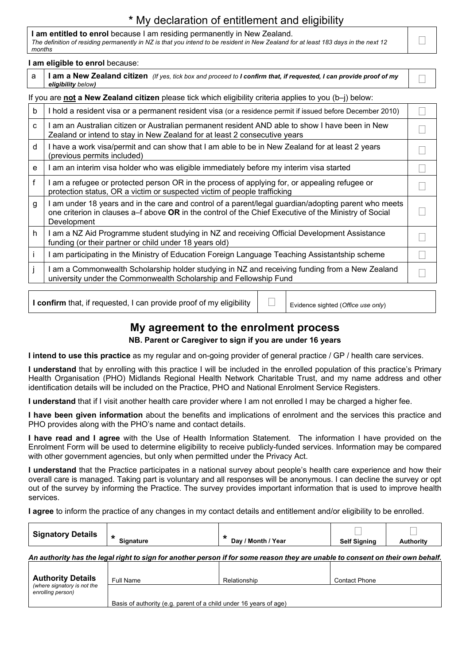# **\*** My declaration of entitlement and eligibility

#### **I am entitled to enrol** because I am residing permanently in New Zealand. *The definition of residing permanently in NZ is that you intend to be resident in New Zealand for at least 183 days in the next 12 months*

#### **I am eligible to enrol** because:

|                                                                                                                  | I alli eligible to elli'ol because.                                                                                                                                                                                          |  |  |  |
|------------------------------------------------------------------------------------------------------------------|------------------------------------------------------------------------------------------------------------------------------------------------------------------------------------------------------------------------------|--|--|--|
| a                                                                                                                | I am a New Zealand citizen (If yes, tick box and proceed to I confirm that, if requested, I can provide proof of my<br>eligibility below)                                                                                    |  |  |  |
| If you are <b>not a New Zealand citizen</b> please tick which eligibility criteria applies to you $(b-i)$ below: |                                                                                                                                                                                                                              |  |  |  |
| b                                                                                                                | I hold a resident visa or a permanent resident visa (or a residence permit if issued before December 2010)                                                                                                                   |  |  |  |
| C                                                                                                                | I am an Australian citizen or Australian permanent resident AND able to show I have been in New<br>Zealand or intend to stay in New Zealand for at least 2 consecutive years                                                 |  |  |  |
| d                                                                                                                | I have a work visa/permit and can show that I am able to be in New Zealand for at least 2 years<br>(previous permits included)                                                                                               |  |  |  |
| e                                                                                                                | I am an interim visa holder who was eligible immediately before my interim visa started                                                                                                                                      |  |  |  |
| f                                                                                                                | I am a refugee or protected person OR in the process of applying for, or appealing refugee or<br>protection status, OR a victim or suspected victim of people trafficking                                                    |  |  |  |
| g                                                                                                                | I am under 18 years and in the care and control of a parent/legal guardian/adopting parent who meets<br>one criterion in clauses a–f above OR in the control of the Chief Executive of the Ministry of Social<br>Development |  |  |  |
| h                                                                                                                | I am a NZ Aid Programme student studying in NZ and receiving Official Development Assistance<br>funding (or their partner or child under 18 years old)                                                                       |  |  |  |
|                                                                                                                  | I am participating in the Ministry of Education Foreign Language Teaching Assistantship scheme                                                                                                                               |  |  |  |
|                                                                                                                  | I am a Commonwealth Scholarship holder studying in NZ and receiving funding from a New Zealand<br>university under the Commonwealth Scholarship and Fellowship Fund                                                          |  |  |  |
|                                                                                                                  |                                                                                                                                                                                                                              |  |  |  |

**I confirm** that, if requested, I can provide proof of my eligibility  $\Box$   $\Box$  Evidence sighted (*Office use only*)

# **My agreement to the enrolment process**

**NB. Parent or Caregiver to sign if you are under 16 years**

**I intend to use this practice** as my regular and on-going provider of general practice / GP / health care services.

**I understand** that by enrolling with this practice I will be included in the enrolled population of this practice's Primary Health Organisation (PHO) Midlands Regional Health Network Charitable Trust, and my name address and other identification details will be included on the Practice, PHO and National Enrolment Service Registers.

**I understand** that if I visit another health care provider where I am not enrolled I may be charged a higher fee.

**I have been given information** about the benefits and implications of enrolment and the services this practice and PHO provides along with the PHO's name and contact details.

**I have read and I agree** with the Use of Health Information Statement. The information I have provided on the Enrolment Form will be used to determine eligibility to receive publicly-funded services. Information may be compared with other government agencies, but only when permitted under the Privacy Act.

**I understand** that the Practice participates in a national survey about people's health care experience and how their overall care is managed. Taking part is voluntary and all responses will be anonymous. I can decline the survey or opt out of the survey by informing the Practice. The survey provides important information that is used to improve health services.

**I agree** to inform the practice of any changes in my contact details and entitlement and/or eligibility to be enrolled.

| <b>Signatory Details</b> |                  |                    |                     |                |
|--------------------------|------------------|--------------------|---------------------|----------------|
|                          | <b>Signature</b> | Day / Month / Year | <b>Self Signing</b> | <b>uthorit</b> |

*An authority has the legal right to sign for another person if for some reason they are unable to consent on their own behalf.*

| <b>Authority Details</b>                         | Full Name                                                         | Relationship | <b>Contact Phone</b> |
|--------------------------------------------------|-------------------------------------------------------------------|--------------|----------------------|
| (where signatory is not the<br>enrolling person) |                                                                   |              |                      |
|                                                  | Basis of authority (e.g. parent of a child under 16 years of age) |              |                      |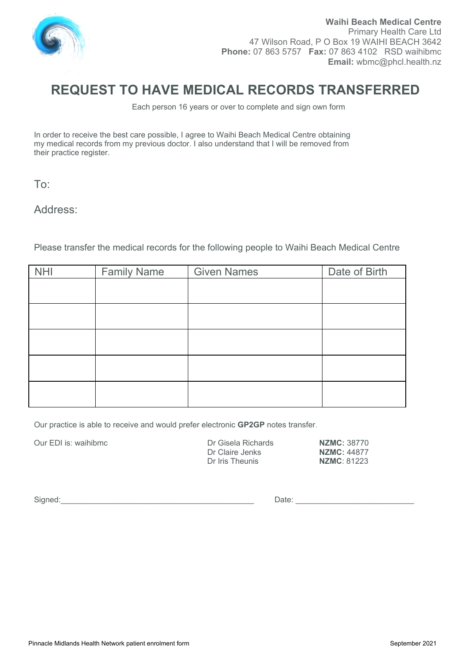

# **REQUEST TO HAVE MEDICAL RECORDS TRANSFERRED**

Each person 16 years or over to complete and sign own form

In order to receive the best care possible, I agree to Waihi Beach Medical Centre obtaining my medical records from my previous doctor. I also understand that I will be removed from their practice register.

To:

Address:

Please transfer the medical records for the following people to Waihi Beach Medical Centre

| <b>NHI</b> | <b>Family Name</b> | <b>Given Names</b> | Date of Birth |
|------------|--------------------|--------------------|---------------|
|            |                    |                    |               |
|            |                    |                    |               |
|            |                    |                    |               |
|            |                    |                    |               |
|            |                    |                    |               |
|            |                    |                    |               |
|            |                    |                    |               |
|            |                    |                    |               |
|            |                    |                    |               |

Our practice is able to receive and would prefer electronic **GP2GP** notes transfer.

Our EDI is: waihibmc **Course Inc.** Dr Gisela Richards **NZMC:** 38770<br>Dr Claire Jenks **NZMC:** 44877 Dr Claire Jenks<br>
Dr Iris Theunis<br> **NZMC**: 81223 **Dr Iris Theunis** 

Signed:\_\_\_\_\_\_\_\_\_\_\_\_\_\_\_\_\_\_\_\_\_\_\_\_\_\_\_\_\_\_\_\_\_\_\_\_\_\_\_\_\_\_\_\_ Date: \_\_\_\_\_\_\_\_\_\_\_\_\_\_\_\_\_\_\_\_\_\_\_\_\_\_\_